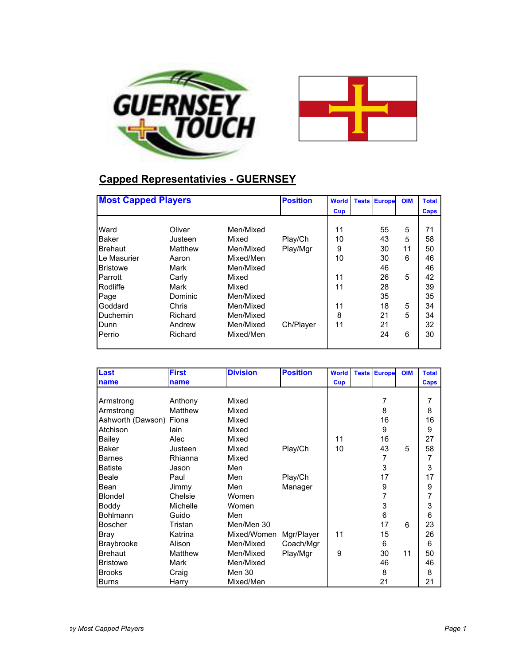



### **Capped Representativies - GUERNSEY**

| <b>Most Capped Players</b> |         |           | <b>Position</b> | <b>World</b> | <b>Tests</b> | <b>Europe</b> | <b>OIM</b> | <b>Total</b> |
|----------------------------|---------|-----------|-----------------|--------------|--------------|---------------|------------|--------------|
|                            |         |           |                 | Cup          |              |               |            | <b>Caps</b>  |
| Ward                       | Oliver  | Men/Mixed |                 | 11           |              | 55            | 5          | 71           |
| <b>Baker</b>               | Justeen | Mixed     | Play/Ch         | 10           |              | 43            | 5          | 58           |
| <b>Brehaut</b>             | Matthew | Men/Mixed | Play/Mgr        | 9            |              | 30            | 11         | 50           |
| Le Masurier                | Aaron   | Mixed/Men |                 | 10           |              | 30            | 6          | 46           |
| <b>Bristowe</b>            | Mark    | Men/Mixed |                 |              |              | 46            |            | 46           |
| Parrott                    | Carly   | Mixed     |                 | 11           |              | 26            | 5          | 42           |
| Rodliffe                   | Mark    | Mixed     |                 | 11           |              | 28            |            | 39           |
| Page                       | Dominic | Men/Mixed |                 |              |              | 35            |            | 35           |
| Goddard                    | Chris   | Men/Mixed |                 | 11           |              | 18            | 5          | 34           |
| Duchemin                   | Richard | Men/Mixed |                 | 8            |              | 21            | 5          | 34           |
| Dunn                       | Andrew  | Men/Mixed | Ch/Player       | 11           |              | 21            |            | 32           |
| Perrio                     | Richard | Mixed/Men |                 |              |              | 24            | 6          | 30           |

| Last              | <b>First</b> | <b>Division</b> | <b>Position</b> | <b>World</b> | <b>Tests Europe</b> | <b>OIM</b> | <b>Total</b> |
|-------------------|--------------|-----------------|-----------------|--------------|---------------------|------------|--------------|
| name              | name         |                 |                 | Cup          |                     |            | Caps         |
|                   |              |                 |                 |              |                     |            |              |
| Armstrong         | Anthony      | Mixed           |                 |              | 7                   |            | 7            |
| Armstrong         | Matthew      | Mixed           |                 |              | 8                   |            | 8            |
| Ashworth (Dawson) | Fiona        | Mixed           |                 |              | 16                  |            | 16           |
| Atchison          | lain         | Mixed           |                 |              | 9                   |            | 9            |
| Bailey            | Alec         | Mixed           |                 | 11           | 16                  |            | 27           |
| <b>Baker</b>      | Justeen      | Mixed           | Play/Ch         | 10           | 43                  | 5          | 58           |
| <b>Barnes</b>     | Rhianna      | Mixed           |                 |              | 7                   |            | 7            |
| <b>Batiste</b>    | Jason        | Men             |                 |              | 3                   |            | 3            |
| Beale             | Paul         | Men             | Play/Ch         |              | 17                  |            | 17           |
| Bean              | Jimmy        | Men             | Manager         |              | 9                   |            | 9            |
| Blondel           | Chelsie      | Women           |                 |              | 7                   |            | 7            |
| Boddy             | Michelle     | Women           |                 |              | 3                   |            | 3            |
| <b>Bohlmann</b>   | Guido        | Men             |                 |              | 6                   |            | 6            |
| <b>Boscher</b>    | Tristan      | Men/Men 30      |                 |              | 17                  | 6          | 23           |
| <b>Bray</b>       | Katrina      | Mixed/Women     | Mgr/Player      | 11           | 15                  |            | 26           |
| Braybrooke        | Alison       | Men/Mixed       | Coach/Mgr       |              | 6                   |            | 6            |
| <b>Brehaut</b>    | Matthew      | Men/Mixed       | Play/Mgr        | 9            | 30                  | 11         | 50           |
| <b>Bristowe</b>   | Mark         | Men/Mixed       |                 |              | 46                  |            | 46           |
| <b>Brooks</b>     | Craig        | Men 30          |                 |              | 8                   |            | 8            |
| <b>Burns</b>      | Harry        | Mixed/Men       |                 |              | 21                  |            | 21           |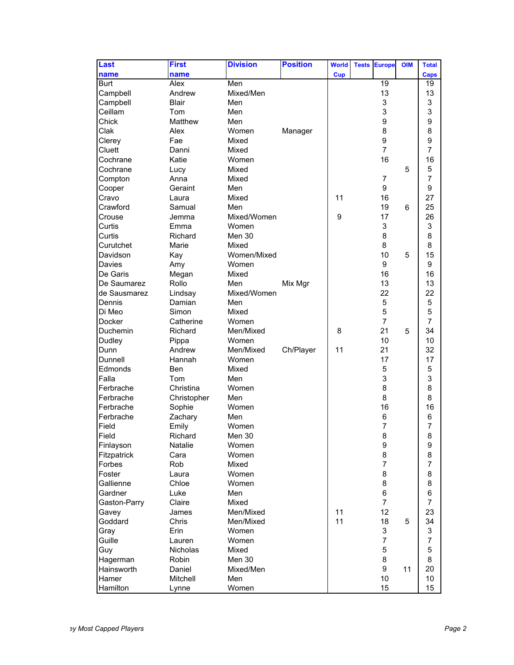| Last                | <b>First</b>       | <b>Division</b>  | <b>Position</b> | <b>World</b> | <b>Tests</b> | <b>Europe</b>  | <b>OIM</b> | <b>Total</b>   |
|---------------------|--------------------|------------------|-----------------|--------------|--------------|----------------|------------|----------------|
| name                | name               |                  |                 | <b>Cup</b>   |              |                |            | Caps           |
| <b>Burt</b>         | Alex               | Men              |                 |              |              | 19             |            | 19             |
| Campbell            | Andrew             | Mixed/Men        |                 |              |              | 13             |            | 13             |
| Campbell            | <b>Blair</b>       | Men              |                 |              |              | 3              |            | 3              |
| Ceillam             | Tom                | Men              |                 |              |              | 3              |            | 3              |
| Chick               | Matthew            | Men              |                 |              |              | 9              |            | 9              |
| Clak                | Alex               | Women            | Manager         |              |              | 8              |            | 8              |
| Clerey              | Fae                | Mixed            |                 |              |              | 9              |            | 9              |
| Cluett              | Danni              | Mixed            |                 |              |              | $\overline{7}$ |            | $\overline{7}$ |
| Cochrane            | Katie              | Women            |                 |              |              | 16             |            | 16             |
| Cochrane            | Lucy               | Mixed            |                 |              |              |                | 5          | 5              |
| Compton             | Anna               | Mixed            |                 |              |              | 7              |            | $\overline{7}$ |
| Cooper              | Geraint            | Men              |                 |              |              | 9              |            | 9              |
| Cravo               | Laura              | Mixed            |                 | 11           |              | 16             |            | 27             |
| Crawford            | Samual             | Men              |                 |              |              | 19             | 6          | 25             |
| Crouse              | Jemma              | Mixed/Women      |                 | 9            |              | 17             |            | 26             |
| Curtis              | Emma               | Women            |                 |              |              | 3              |            | 3              |
| Curtis              | Richard            | Men 30           |                 |              |              | 8              |            | 8              |
| Curutchet           | Marie              | Mixed            |                 |              |              | 8              |            | 8              |
| Davidson            | Kay                | Women/Mixed      |                 |              |              | 10             | 5          | 15             |
| Davies              | Amy                | Women            |                 |              |              | 9              |            | 9              |
| De Garis            | Megan              | Mixed            |                 |              |              | 16             |            | 16             |
| De Saumarez         | Rollo              | Men              | Mix Mgr         |              |              | 13             |            | 13             |
| de Sausmarez        | Lindsay            | Mixed/Women      |                 |              |              | 22             |            | 22             |
| Dennis              | Damian             | Men              |                 |              |              | 5              |            | 5              |
| Di Meo              | Simon              | Mixed            |                 |              |              | 5              |            | 5              |
| <b>Docker</b>       | Catherine          | Women            |                 |              |              | 7              |            | $\overline{7}$ |
| Duchemin            | Richard            | Men/Mixed        |                 | 8            |              | 21             | 5          | 34             |
| <b>Dudley</b>       | Pippa              | Women            |                 |              |              | 10             |            | 10             |
| Dunn                | Andrew             | Men/Mixed        | Ch/Player       | 11           |              | 21             |            | 32             |
| Dunnell             | Hannah             | Women            |                 |              |              | 17             |            | 17             |
| Edmonds             | Ben                | Mixed            |                 |              |              | 5              |            | 5              |
| Falla               | Tom                | Men              |                 |              |              | 3              |            | 3              |
| Ferbrache           | Christina          | Women            |                 |              |              | 8              |            | 8              |
| Ferbrache           | Christopher        | Men              |                 |              |              | 8              |            | 8              |
| Ferbrache           | Sophie             | Women            |                 |              |              | 16             |            | 16             |
| Ferbrache           | Zachary            | Men              |                 |              |              | 6              |            | 6              |
| Field               | Emily              | Women            |                 |              |              | 7              |            | 7              |
| Field               | Richard            | Men 30           |                 |              |              | 8              |            | 8              |
| Finlayson           | Natalie            | Women            |                 |              |              | 9              |            | 9              |
| Fitzpatrick         | Cara               | Women            |                 |              |              | 8              |            | 8              |
| Forbes              | Rob                | Mixed            |                 |              |              | $\overline{7}$ |            | 7              |
| Foster              | Laura              | Women            |                 |              |              | 8              |            | 8              |
| Gallienne           | Chloe              | Women            |                 |              |              | 8              |            | 8              |
| Gardner             | Luke               | Men              |                 |              |              | $\,6$          |            | 6              |
| Gaston-Parry        | Claire             | Mixed            |                 |              |              | $\overline{7}$ |            | $\overline{7}$ |
| Gavey               | James              | Men/Mixed        |                 | 11           |              | 12             |            | 23             |
| Goddard             | Chris              | Men/Mixed        |                 | 11           |              | 18             | 5          | 34             |
| Gray                | Erin               | Women            |                 |              |              | 3              |            | 3              |
| Guille              | Lauren             | Women            |                 |              |              | 7              |            | 7              |
| Guy                 | <b>Nicholas</b>    | Mixed            |                 |              |              | 5              |            | 5              |
|                     | Robin              | Men 30           |                 |              |              | 8              |            | 8              |
| Hagerman            |                    |                  |                 |              |              | 9              | 11         | 20             |
| Hainsworth<br>Hamer | Daniel<br>Mitchell | Mixed/Men<br>Men |                 |              |              | 10             |            | 10             |
| Hamilton            |                    | Women            |                 |              |              | 15             |            | 15             |
|                     | Lynne              |                  |                 |              |              |                |            |                |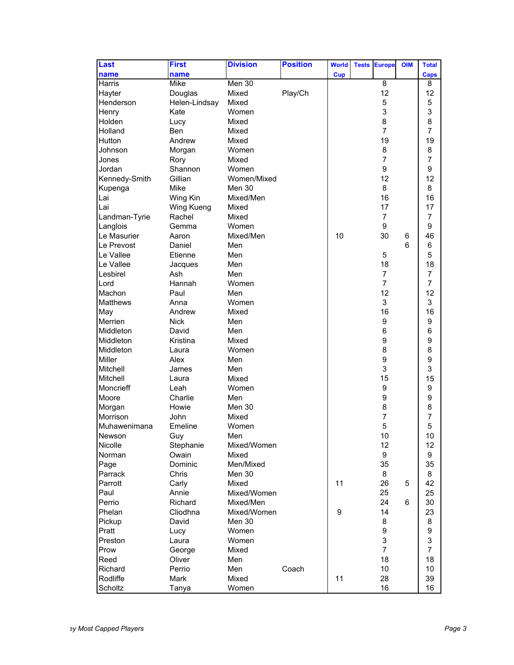| Last          | <b>First</b>  | <b>Division</b> | <b>Position</b> | <b>World</b> | <b>Tests</b> | <b>Europe</b>             | <b>OIM</b> | <b>Total</b>   |
|---------------|---------------|-----------------|-----------------|--------------|--------------|---------------------------|------------|----------------|
| name          | name          |                 |                 | <b>Cup</b>   |              |                           |            | <b>Caps</b>    |
| Harris        | Mike          | Men $30$        |                 |              |              | $\overline{8}$            |            | 8              |
| Hayter        | Douglas       | Mixed           | Play/Ch         |              |              | 12                        |            | 12             |
| Henderson     | Helen-Lindsay | Mixed           |                 |              |              | 5                         |            | 5              |
| Henry         | Kate          | Women           |                 |              |              | 3                         |            | 3              |
| Holden        | Lucy          | Mixed           |                 |              |              | 8                         |            | 8              |
| Holland       | Ben           | Mixed           |                 |              |              | $\overline{7}$            |            | 7              |
| Hutton        | Andrew        | Mixed           |                 |              |              | 19                        |            | 19             |
| Johnson       | Morgan        | Women           |                 |              |              | 8                         |            | 8              |
| Jones         | Rory          | Mixed           |                 |              |              | $\overline{7}$            |            | $\overline{7}$ |
| Jordan        | Shannon       | Women           |                 |              |              | 9                         |            | 9              |
| Kennedy-Smith | Gillian       | Women/Mixed     |                 |              |              | 12                        |            | 12             |
| Kupenga       | Mike          | Men 30          |                 |              |              | 8                         |            | 8              |
| Lai           | Wing Kin      | Mixed/Men       |                 |              |              | 16                        |            | 16             |
| Lai           | Wing Kueng    | Mixed           |                 |              |              | 17                        |            | 17             |
| Landman-Tyrie | Rachel        | Mixed           |                 |              |              | 7                         |            | 7              |
| Langlois      | Gemma         | Women           |                 |              |              | 9                         |            | 9              |
| Le Masurier   | Aaron         | Mixed/Men       |                 | 10           |              | 30                        | 6          | 46             |
| Le Prevost    | Daniel        | Men             |                 |              |              |                           | 6          | 6              |
| Le Vallee     | Etienne       | Men             |                 |              |              | 5                         |            | 5              |
| Le Vallee     | Jacques       | Men             |                 |              |              | 18                        |            | 18             |
| Lesbirel      | Ash           | Men             |                 |              |              | 7                         |            | 7              |
| Lord          | Hannah        | Women           |                 |              |              | $\overline{7}$            |            | $\overline{7}$ |
| Machon        | Paul          | Men             |                 |              |              | 12                        |            | 12             |
| Matthews      | Anna          | Women           |                 |              |              | 3                         |            | 3              |
| May           | Andrew        | Mixed           |                 |              |              | 16                        |            | 16             |
| Merrien       | <b>Nick</b>   | Men             |                 |              |              | 9                         |            | 9              |
| Middleton     | David         | Men             |                 |              |              | 6                         |            | 6              |
| Middleton     | Kristina      | Mixed           |                 |              |              | 9                         |            | 9              |
| Middleton     | Laura         | Women           |                 |              |              | 8                         |            | 8              |
| <b>Miller</b> | Alex          | Men             |                 |              |              | 9                         |            | 9              |
| Mitchell      | James         | Men             |                 |              |              | 3                         |            | 3              |
| Mitchell      | Laura         | Mixed           |                 |              |              | 15                        |            | 15             |
| Moncrieff     | Leah          | Women           |                 |              |              | 9                         |            | 9              |
| Moore         | Charlie       | Men             |                 |              |              | 9                         |            | 9              |
| Morgan        | Howie         | Men 30          |                 |              |              | 8                         |            | 8              |
| Morrison      | John          | Mixed           |                 |              |              | $\overline{7}$            |            | $\overline{7}$ |
| Muhawenimana  | Emeline       | Women           |                 |              |              | 5                         |            | 5              |
| Newson        | Guy           | Men             |                 |              |              | $10$                      |            | 10             |
| Nicolle       | Stephanie     | Mixed/Women     |                 |              |              | 12                        |            | 12             |
| Norman        | Owain         | Mixed           |                 |              |              | $\boldsymbol{9}$          |            | 9              |
| Page          | Dominic       | Men/Mixed       |                 |              |              | 35                        |            | 35             |
| Parrack       | Chris         | Men 30          |                 |              |              | 8                         |            | 8              |
| Parrott       | Carly         | Mixed           |                 | 11           |              | 26                        | 5          | 42             |
| Paul          | Annie         | Mixed/Women     |                 |              |              | 25                        |            | 25             |
| Perrio        | Richard       | Mixed/Men       |                 |              |              | 24                        | 6          | 30             |
| Phelan        | Cliodhna      | Mixed/Women     |                 | 9            |              | 14                        |            | 23             |
| Pickup        | David         | Men 30          |                 |              |              | 8                         |            | 8              |
| Pratt         |               | Women           |                 |              |              | $\boldsymbol{9}$          |            | 9              |
|               | Lucy          |                 |                 |              |              |                           |            |                |
| Preston       | Laura         | Women           |                 |              |              | $\ensuremath{\mathsf{3}}$ |            | 3              |
| Prow          | George        | Mixed           |                 |              |              | $\overline{7}$            |            | $\overline{7}$ |
| Reed          | Oliver        | Men             |                 |              |              | 18                        |            | 18             |
| Richard       | Perrio        | Men             | Coach           |              |              | 10                        |            | 10             |
| Rodliffe      | Mark          | Mixed           |                 | 11           |              | 28                        |            | 39             |
| Scholtz       | Tanya         | Women           |                 |              |              | 16                        |            | 16             |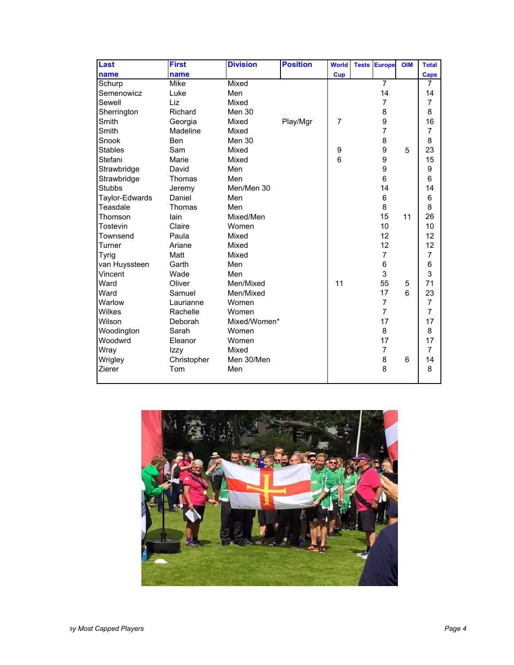| Last           | <b>First</b> | <b>Division</b> | <b>Position</b> | <b>World</b>    | <b>Tests</b> | <b>Europe</b>  | <b>OIM</b> | <b>Total</b>   |
|----------------|--------------|-----------------|-----------------|-----------------|--------------|----------------|------------|----------------|
| name           | name         |                 |                 | <b>Cup</b>      |              |                |            | <b>Caps</b>    |
| Schurp         | Mike         | Mixed           |                 |                 |              | $\overline{7}$ |            | 7              |
| Semenowicz     | Luke         | Men             |                 |                 |              | 14             |            | 14             |
| Sewell         | Liz          | Mixed           |                 |                 |              | 7              |            | 7              |
| Sherrington    | Richard      | Men 30          |                 |                 |              | 8              |            | 8              |
| Smith          | Georgia      | Mixed           | Play/Mgr        | $\overline{7}$  |              | 9              |            | 16             |
| Smith          | Madeline     | Mixed           |                 |                 |              | 7              |            | 7              |
| Snook          | <b>Ben</b>   | <b>Men 30</b>   |                 |                 |              | 8              |            | 8              |
| <b>Stables</b> | Sam          | Mixed           |                 | 9               |              | 9              | 5          | 23             |
| Stefani        | Marie        | Mixed           |                 | $6\phantom{1}6$ |              | 9              |            | 15             |
| Strawbridge    | David        | Men             |                 |                 |              | 9              |            | 9              |
| Strawbridge    | Thomas       | Men             |                 |                 |              | 6              |            | 6              |
| <b>Stubbs</b>  | Jeremy       | Men/Men 30      |                 |                 |              | 14             |            | 14             |
| Taylor-Edwards | Daniel       | Men             |                 |                 |              | 6              |            | 6              |
| Teasdale       | Thomas       | Men             |                 |                 |              | 8              |            | 8              |
| Thomson        | lain         | Mixed/Men       |                 |                 |              | 15             | 11         | 26             |
| Tostevin       | Claire       | Women           |                 |                 |              | 10             |            | 10             |
| Townsend       | Paula        | Mixed           |                 |                 |              | 12             |            | 12             |
| Turner         | Ariane       | Mixed           |                 |                 |              | 12             |            | 12             |
| <b>Tyrig</b>   | Matt         | Mixed           |                 |                 |              | $\overline{7}$ |            | $\overline{7}$ |
| van Huyssteen  | Garth        | Men             |                 |                 |              | 6              |            | 6              |
| Vincent        | Wade         | Men             |                 |                 |              | 3              |            | 3              |
| Ward           | Oliver       | Men/Mixed       |                 | 11              |              | 55             | 5          | 71             |
| Ward           | Samuel       | Men/Mixed       |                 |                 |              | 17             | 6          | 23             |
| Warlow         | Laurianne    | Women           |                 |                 |              | 7              |            | 7              |
| Wilkes         | Rachelle     | Women           |                 |                 |              | $\overline{7}$ |            | $\overline{7}$ |
| Wilson         | Deborah      | Mixed/Women*    |                 |                 |              | 17             |            | 17             |
| Woodington     | Sarah        | Women           |                 |                 |              | 8              |            | 8              |
| Woodwrd        | Eleanor      | Women           |                 |                 |              | 17             |            | 17             |
| Wray           | Izzy         | Mixed           |                 |                 |              | 7              |            | $\overline{7}$ |
| Wrigley        | Christopher  | Men 30/Men      |                 |                 |              | 8              | 6          | 14             |
| Zierer         | Tom          | Men             |                 |                 |              | 8              |            | 8              |

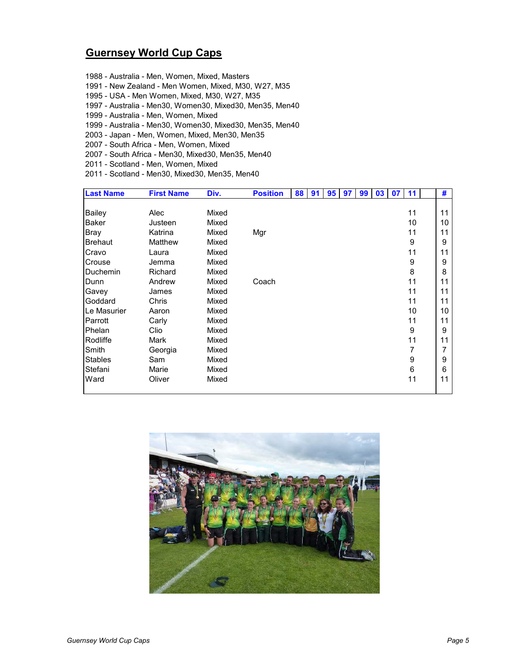#### **Guernsey World Cup Caps**

1988 - Australia - Men, Women, Mixed, Masters 1991 - New Zealand - Men Women, Mixed, M30, W27, M35 1995 - USA - Men Women, Mixed, M30, W27, M35 1997 - Australia - Men30, Women30, Mixed30, Men35, Men40 1999 - Australia - Men, Women, Mixed 1999 - Australia - Men30, Women30, Mixed30, Men35, Men40 2003 - Japan - Men, Women, Mixed, Men30, Men35 2007 - South Africa - Men, Women, Mixed 2007 - South Africa - Men30, Mixed30, Men35, Men40 2011 - Scotland - Men, Women, Mixed 2011 - Scotland - Men30, Mixed30, Men35, Men40

| <b>Last Name</b> | <b>First Name</b> | Div.  | <b>Position</b> | 88 | 91 | 95 | 97 | 99 | 03 <sup>1</sup> | 07 | 11 | #  |
|------------------|-------------------|-------|-----------------|----|----|----|----|----|-----------------|----|----|----|
|                  |                   |       |                 |    |    |    |    |    |                 |    |    |    |
| <b>Bailey</b>    | Alec              | Mixed |                 |    |    |    |    |    |                 |    | 11 | 11 |
| <b>Baker</b>     | Justeen           | Mixed |                 |    |    |    |    |    |                 |    | 10 | 10 |
| <b>Bray</b>      | Katrina           | Mixed | Mgr             |    |    |    |    |    |                 |    | 11 | 11 |
| Brehaut          | Matthew           | Mixed |                 |    |    |    |    |    |                 |    | 9  | 9  |
| Cravo            | Laura             | Mixed |                 |    |    |    |    |    |                 |    | 11 | 11 |
| Crouse           | Jemma             | Mixed |                 |    |    |    |    |    |                 |    | 9  | 9  |
| Duchemin         | Richard           | Mixed |                 |    |    |    |    |    |                 |    | 8  | 8  |
| Dunn             | Andrew            | Mixed | Coach           |    |    |    |    |    |                 |    | 11 | 11 |
| Gavey            | James             | Mixed |                 |    |    |    |    |    |                 |    | 11 | 11 |
| Goddard          | Chris             | Mixed |                 |    |    |    |    |    |                 |    | 11 | 11 |
| Le Masurier      | Aaron             | Mixed |                 |    |    |    |    |    |                 |    | 10 | 10 |
| Parrott          | Carly             | Mixed |                 |    |    |    |    |    |                 |    | 11 | 11 |
| Phelan           | Clio              | Mixed |                 |    |    |    |    |    |                 |    | 9  | 9  |
| Rodliffe         | Mark              | Mixed |                 |    |    |    |    |    |                 |    | 11 | 11 |
| Smith            | Georgia           | Mixed |                 |    |    |    |    |    |                 |    | 7  | 7  |
| <b>Stables</b>   | Sam               | Mixed |                 |    |    |    |    |    |                 |    | 9  | 9  |
| Stefani          | Marie             | Mixed |                 |    |    |    |    |    |                 |    | 6  | 6  |
| Ward             | Oliver            | Mixed |                 |    |    |    |    |    |                 |    | 11 | 11 |
|                  |                   |       |                 |    |    |    |    |    |                 |    |    |    |

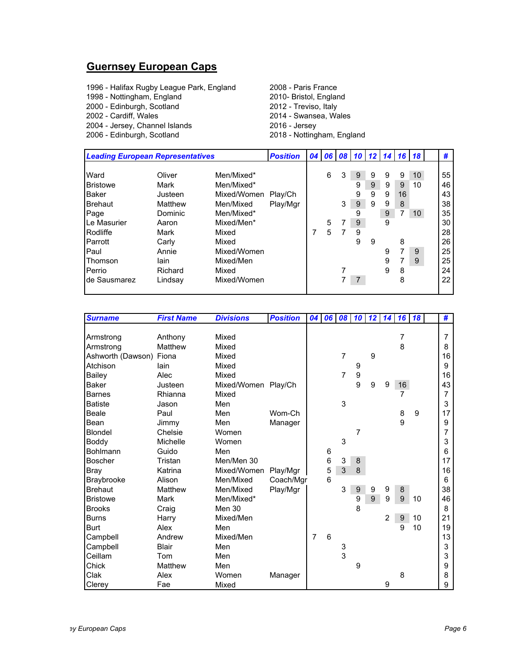# **Guernsey European Caps**

| <b>Leading European Representatives</b> |         |             | <b>Position</b> |   | 04 06 08 |   | $10$ 12 14 |   |   | 16 | 18              | #  |
|-----------------------------------------|---------|-------------|-----------------|---|----------|---|------------|---|---|----|-----------------|----|
|                                         |         |             |                 |   |          |   |            |   |   |    |                 |    |
| Ward                                    | Oliver  | Men/Mixed*  |                 |   | 6        | 3 | 9          | 9 | 9 | 9  | 10              | 55 |
| <b>Bristowe</b>                         | Mark    | Men/Mixed*  |                 |   |          |   | 9          | 9 | 9 | 9  | 10              | 46 |
| <b>Baker</b>                            | Justeen | Mixed/Women | Play/Ch         |   |          |   | 9          | 9 | 9 | 16 |                 | 43 |
| <b>Brehaut</b>                          | Matthew | Men/Mixed   | Play/Mgr        |   |          | 3 | $9\,$      | 9 | 9 | 8  |                 | 38 |
| Page                                    | Dominic | Men/Mixed*  |                 |   |          |   | 9          |   | 9 | 7  | 10 <sup>°</sup> | 35 |
| Le Masurier                             | Aaron   | Mixed/Men*  |                 |   | 5        |   | 9          |   | 9 |    |                 | 30 |
| Rodliffe                                | Mark    | Mixed       |                 | 7 | 5        | 7 | 9          |   |   |    |                 | 28 |
| Parrott                                 | Carly   | Mixed       |                 |   |          |   | 9          | 9 |   | 8  |                 | 26 |
| <b>Paul</b>                             | Annie   | Mixed/Women |                 |   |          |   |            |   | 9 | 7  | 9               | 25 |
| Thomson                                 | lain    | Mixed/Men   |                 |   |          |   |            |   | 9 |    | 9               | 25 |
| Perrio                                  | Richard | Mixed       |                 |   |          |   |            |   | 9 | 8  |                 | 24 |
| de Sausmarez                            | Lindsay | Mixed/Women |                 |   |          |   |            |   |   | 8  |                 | 22 |
|                                         |         |             |                 |   |          |   |            |   |   |    |                 |    |

| <b>Surname</b>    | <b>First Name</b> | <b>Divisions</b>     | <b>Position</b> | 04 <sup>1</sup> | 06 | 08             | 10               | 12 | 14             | <b>16</b> | <b>18</b> | #  |
|-------------------|-------------------|----------------------|-----------------|-----------------|----|----------------|------------------|----|----------------|-----------|-----------|----|
|                   |                   |                      |                 |                 |    |                |                  |    |                |           |           |    |
| Armstrong         | Anthony           | Mixed                |                 |                 |    |                |                  |    |                | 7         |           | 7  |
| Armstrong         | Matthew           | Mixed                |                 |                 |    |                |                  |    |                | 8         |           | 8  |
| Ashworth (Dawson) | Fiona             | Mixed                |                 |                 |    | $\overline{7}$ |                  | 9  |                |           |           | 16 |
| Atchison          | lain              | Mixed                |                 |                 |    |                | 9                |    |                |           |           | 9  |
| Bailey            | Alec              | Mixed                |                 |                 |    | $\overline{7}$ | 9                |    |                |           |           | 16 |
| <b>Baker</b>      | Justeen           | Mixed/Women Play/Ch  |                 |                 |    |                | 9                | 9  | 9              | 16        |           | 43 |
| Barnes            | Rhianna           | Mixed                |                 |                 |    |                |                  |    |                | 7         |           | 7  |
| <b>Batiste</b>    | Jason             | Men                  |                 |                 |    | 3              |                  |    |                |           |           | 3  |
| Beale             | Paul              | Men                  | Wom-Ch          |                 |    |                |                  |    |                | 8         | 9         | 17 |
| Bean              | Jimmy             | Men                  | Manager         |                 |    |                |                  |    |                | 9         |           | 9  |
| Blondel           | Chelsie           | Women                |                 |                 |    |                | 7                |    |                |           |           | 7  |
| Boddy             | Michelle          | Women                |                 |                 |    | 3              |                  |    |                |           |           | 3  |
| Bohlmann          | Guido             | Men                  |                 |                 | 6  |                |                  |    |                |           |           | 6  |
| Boscher           | Tristan           | Men/Men 30           |                 |                 | 6  | 3              | 8                |    |                |           |           | 17 |
| Bray              | Katrina           | Mixed/Women Play/Mgr |                 |                 | 5  | $\mathbf{3}$   | 8                |    |                |           |           | 16 |
| Braybrooke        | Alison            | Men/Mixed            | Coach/Mgr       |                 | 6  |                |                  |    |                |           |           | 6  |
| <b>Brehaut</b>    | Matthew           | Men/Mixed            | Play/Mgr        |                 |    | 3              | $\boldsymbol{9}$ | 9  | 9              | 8         |           | 38 |
| <b>Bristowe</b>   | Mark              | Men/Mixed*           |                 |                 |    |                | 9                | 9  | 9              | 9         | 10        | 46 |
| <b>Brooks</b>     | Craig             | <b>Men 30</b>        |                 |                 |    |                | 8                |    |                |           |           | 8  |
| <b>Burns</b>      | Harry             | Mixed/Men            |                 |                 |    |                |                  |    | $\overline{2}$ | 9         | 10        | 21 |
| <b>Burt</b>       | Alex              | Men                  |                 |                 |    |                |                  |    |                | 9         | 10        | 19 |
| Campbell          | Andrew            | Mixed/Men            |                 | $\overline{7}$  | 6  |                |                  |    |                |           |           | 13 |
| Campbell          | Blair             | Men                  |                 |                 |    | 3              |                  |    |                |           |           | 3  |
| Ceillam           | Tom               | Men                  |                 |                 |    | 3              |                  |    |                |           |           | 3  |
| Chick             | Matthew           | Men                  |                 |                 |    |                | 9                |    |                |           |           | 9  |
| Clak              | Alex              | Women                | Manager         |                 |    |                |                  |    |                | 8         |           | 8  |
| Clerey            | Fae               | Mixed                |                 |                 |    |                |                  |    | 9              |           |           | 9  |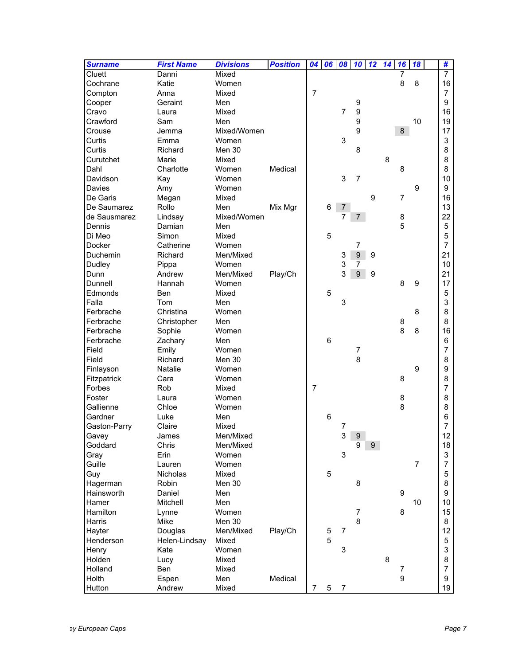| <b>Surname</b> | <b>First Name</b> | <b>Divisions</b> | <b>Position</b> | 04             | 06              | 08 10                     |                  | 12 | 14 | 16             | 18             | #                         |
|----------------|-------------------|------------------|-----------------|----------------|-----------------|---------------------------|------------------|----|----|----------------|----------------|---------------------------|
| Cluett         | Danni             | Mixed            |                 |                |                 |                           |                  |    |    | 7              |                | $\overline{7}$            |
| Cochrane       | Katie             | Women            |                 |                |                 |                           |                  |    |    | 8              | 8              | 16                        |
| Compton        | Anna              | Mixed            |                 | $\overline{7}$ |                 |                           |                  |    |    |                |                | 7                         |
| Cooper         | Geraint           | Men              |                 |                |                 |                           | 9                |    |    |                |                | 9                         |
| Cravo          | Laura             | Mixed            |                 |                |                 | $\overline{7}$            | 9                |    |    |                |                | 16                        |
| Crawford       | Sam               | Men              |                 |                |                 |                           | 9                |    |    |                | 10             | 19                        |
| Crouse         | Jemma             | Mixed/Women      |                 |                |                 |                           | 9                |    |    | 8              |                | 17                        |
| Curtis         | Emma              | Women            |                 |                |                 | 3                         |                  |    |    |                |                | 3                         |
| Curtis         | Richard           | Men 30           |                 |                |                 |                           | 8                |    |    |                |                | 8                         |
| Curutchet      | Marie             | Mixed            |                 |                |                 |                           |                  |    | 8  |                |                | 8                         |
| Dahl           | Charlotte         | Women            | Medical         |                |                 |                           |                  |    |    | 8              |                | 8                         |
| Davidson       | Kay               | Women            |                 |                |                 | 3                         | $\overline{7}$   |    |    |                |                | 10                        |
| Davies         | Amy               | Women            |                 |                |                 |                           |                  |    |    |                | 9              | 9                         |
| De Garis       | Megan             | Mixed            |                 |                |                 |                           |                  | 9  |    | $\overline{7}$ |                | 16                        |
| De Saumarez    | Rollo             | Men              | Mix Mgr         |                | 6               | $\overline{7}$            |                  |    |    |                |                | 13                        |
| de Sausmarez   | Lindsay           | Mixed/Women      |                 |                |                 | 7                         | 7                |    |    | 8              |                | 22                        |
| Dennis         | Damian            | Men              |                 |                |                 |                           |                  |    |    | 5              |                | 5                         |
| Di Meo         | Simon             | Mixed            |                 |                | 5               |                           |                  |    |    |                |                | 5                         |
| <b>Docker</b>  | Catherine         | Women            |                 |                |                 |                           | 7                |    |    |                |                | $\overline{7}$            |
| Duchemin       | Richard           | Men/Mixed        |                 |                |                 | 3                         | $\boldsymbol{9}$ | 9  |    |                |                | 21                        |
| <b>Dudley</b>  | Pippa             | Women            |                 |                |                 | 3                         | 7                |    |    |                |                | 10                        |
| Dunn           | Andrew            | Men/Mixed        | Play/Ch         |                |                 | 3                         | 9                | 9  |    |                |                | 21                        |
| Dunnell        | Hannah            | Women            |                 |                |                 |                           |                  |    |    | 8              | 9              | 17                        |
| Edmonds        | <b>Ben</b>        | Mixed            |                 |                | 5               |                           |                  |    |    |                |                | 5                         |
| Falla          | Tom               | Men              |                 |                |                 | 3                         |                  |    |    |                |                | 3                         |
| Ferbrache      | Christina         | Women            |                 |                |                 |                           |                  |    |    |                | 8              | 8                         |
| Ferbrache      | Christopher       | Men              |                 |                |                 |                           |                  |    |    | 8              |                | 8                         |
| Ferbrache      | Sophie            | Women            |                 |                |                 |                           |                  |    |    | 8              | 8              | 16                        |
| Ferbrache      | Zachary           | Men              |                 |                | $6\phantom{1}6$ |                           |                  |    |    |                |                | 6                         |
| Field          | Emily             | Women            |                 |                |                 |                           | $\overline{7}$   |    |    |                |                | 7                         |
| Field          | Richard           | Men 30           |                 |                |                 |                           | 8                |    |    |                |                | 8                         |
| Finlayson      | Natalie           | Women            |                 |                |                 |                           |                  |    |    |                | 9              | 9                         |
| Fitzpatrick    | Cara              | Women            |                 |                |                 |                           |                  |    |    | 8              |                | 8                         |
| Forbes         | Rob               | Mixed            |                 | $\overline{7}$ |                 |                           |                  |    |    |                |                | 7                         |
| Foster         | Laura             | Women            |                 |                |                 |                           |                  |    |    | 8              |                | 8                         |
| Gallienne      | Chloe             | Women            |                 |                |                 |                           |                  |    |    | 8              |                | 8                         |
| Gardner        | Luke              | Men              |                 |                | 6               |                           |                  |    |    |                |                | 6                         |
| Gaston-Parry   | Claire            | Mixed            |                 |                |                 | 7                         |                  |    |    |                |                | $\overline{7}$            |
| Gavey          | James             | Men/Mixed        |                 |                |                 |                           | $3 \quad 9$      |    |    |                |                | 12                        |
| Goddard        | Chris             | Men/Mixed        |                 |                |                 |                           | 9                | 9  |    |                |                | 18                        |
| Gray           | Erin              | Women            |                 |                |                 | 3                         |                  |    |    |                |                | $\ensuremath{\mathsf{3}}$ |
| Guille         | Lauren            | Women            |                 |                |                 |                           |                  |    |    |                | $\overline{7}$ | 7                         |
| Guy            | Nicholas          | Mixed            |                 |                | $\mathbf 5$     |                           |                  |    |    |                |                | 5                         |
| Hagerman       | Robin             | Men 30           |                 |                |                 |                           | 8                |    |    |                |                | 8                         |
| Hainsworth     | Daniel            | Men              |                 |                |                 |                           |                  |    |    | 9              |                | 9                         |
| Hamer          | Mitchell          | Men              |                 |                |                 |                           |                  |    |    |                | 10             | 10                        |
| Hamilton       | Lynne             | Women            |                 |                |                 |                           | $\overline{7}$   |    |    | 8              |                | 15                        |
| <b>Harris</b>  | Mike              | Men 30           |                 |                |                 |                           | 8                |    |    |                |                | 8                         |
| Hayter         | Douglas           | Men/Mixed        | Play/Ch         |                | 5               | $\overline{7}$            |                  |    |    |                |                | 12                        |
| Henderson      | Helen-Lindsay     | Mixed            |                 |                | 5               |                           |                  |    |    |                |                | 5                         |
| Henry          | Kate              | Women            |                 |                |                 | $\ensuremath{\mathsf{3}}$ |                  |    |    |                |                | 3                         |
| Holden         | Lucy              | Mixed            |                 |                |                 |                           |                  |    | 8  |                |                | 8                         |
| Holland        | Ben               | Mixed            |                 |                |                 |                           |                  |    |    | 7              |                | 7                         |
| Holth          | Espen             | Men              | Medical         |                |                 |                           |                  |    |    | 9              |                | 9                         |
| Hutton         | Andrew            | Mixed            |                 | $\overline{7}$ | 5               | $\overline{7}$            |                  |    |    |                |                | 19                        |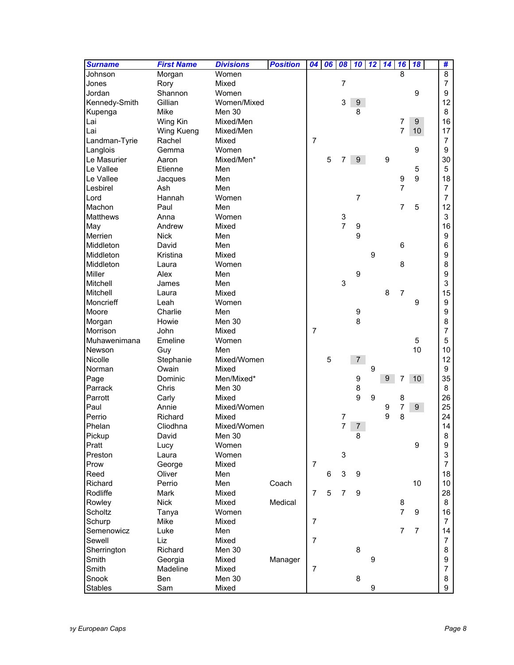| <b>Surname</b> | <b>First Name</b> | <b>Divisions</b> | <b>Position</b> | 04             | 06 | 08                        | 10               | 12               | 14 | 16             | 18              | #              |
|----------------|-------------------|------------------|-----------------|----------------|----|---------------------------|------------------|------------------|----|----------------|-----------------|----------------|
| Johnson        | Morgan            | Women            |                 |                |    |                           |                  |                  |    | 8              |                 | 8              |
| Jones          | Rory              | Mixed            |                 |                |    | $\overline{7}$            |                  |                  |    |                |                 | $\overline{7}$ |
| Jordan         | Shannon           | Women            |                 |                |    |                           |                  |                  |    |                | 9               | 9              |
| Kennedy-Smith  | Gillian           | Women/Mixed      |                 |                |    | 3                         | 9                |                  |    |                |                 | 12             |
| Kupenga        | Mike              | Men 30           |                 |                |    |                           | 8                |                  |    |                |                 | 8              |
| Lai            | Wing Kin          | Mixed/Men        |                 |                |    |                           |                  |                  |    | 7              | 9               | 16             |
| Lai            | Wing Kueng        | Mixed/Men        |                 |                |    |                           |                  |                  |    | $\overline{7}$ | 10              | 17             |
| Landman-Tyrie  | Rachel            | Mixed            |                 | $\overline{7}$ |    |                           |                  |                  |    |                |                 | $\overline{7}$ |
| Langlois       | Gemma             | Women            |                 |                |    |                           |                  |                  |    |                | 9               | 9              |
| Le Masurier    | Aaron             | Mixed/Men*       |                 |                | 5  | 7                         | $\boldsymbol{9}$ |                  | 9  |                |                 | 30             |
| Le Vallee      | Etienne           | Men              |                 |                |    |                           |                  |                  |    |                | 5               | $\overline{5}$ |
| Le Vallee      | Jacques           | Men              |                 |                |    |                           |                  |                  |    | 9              | 9               | 18             |
| Lesbirel       | Ash               | Men              |                 |                |    |                           |                  |                  |    | $\overline{7}$ |                 | $\overline{7}$ |
| Lord           | Hannah            | Women            |                 |                |    |                           | $\overline{7}$   |                  |    |                |                 | $\overline{7}$ |
| Machon         | Paul              | Men              |                 |                |    |                           |                  |                  |    | $\overline{7}$ | 5               | 12             |
| Matthews       | Anna              | Women            |                 |                |    | 3                         |                  |                  |    |                |                 | 3              |
| May            | Andrew            | Mixed            |                 |                |    | $\overline{7}$            | 9                |                  |    |                |                 | 16             |
| Merrien        | <b>Nick</b>       | Men              |                 |                |    |                           | 9                |                  |    |                |                 | 9              |
| Middleton      | David             | Men              |                 |                |    |                           |                  |                  |    | 6              |                 | 6              |
| Middleton      | Kristina          | Mixed            |                 |                |    |                           |                  | 9                |    |                |                 | 9              |
| Middleton      | Laura             | Women            |                 |                |    |                           |                  |                  |    | 8              |                 | 8              |
| <b>Miller</b>  | Alex              | Men              |                 |                |    |                           | 9                |                  |    |                |                 | 9              |
| Mitchell       | James             | Men              |                 |                |    | 3                         |                  |                  |    |                |                 | 3              |
| Mitchell       | Laura             | Mixed            |                 |                |    |                           |                  |                  | 8  | $\overline{7}$ |                 | 15             |
| Moncrieff      | Leah              | Women            |                 |                |    |                           |                  |                  |    |                | 9               | 9              |
| Moore          | Charlie           | Men              |                 |                |    |                           | 9                |                  |    |                |                 | 9              |
| Morgan         | Howie             | Men 30           |                 |                |    |                           | 8                |                  |    |                |                 | 8              |
| Morrison       | John              | Mixed            |                 | $\overline{7}$ |    |                           |                  |                  |    |                |                 | 7              |
| Muhawenimana   | Emeline           | Women            |                 |                |    |                           |                  |                  |    |                | 5               | 5              |
| Newson         | Guy               | Men              |                 |                |    |                           |                  |                  |    |                | 10              | 10             |
| Nicolle        | Stephanie         | Mixed/Women      |                 |                | 5  |                           | $\overline{7}$   |                  |    |                |                 | 12             |
| Norman         | Owain             | Mixed            |                 |                |    |                           |                  | 9                |    |                |                 | 9              |
| Page           | Dominic           | Men/Mixed*       |                 |                |    |                           | 9                |                  | 9  | 7              | 10 <sup>°</sup> | 35             |
| Parrack        | Chris             | Men 30           |                 |                |    |                           | 8                |                  |    |                |                 | 8              |
| Parrott        | Carly             | Mixed            |                 |                |    |                           | 9                | $\boldsymbol{9}$ |    | 8              |                 | 26             |
| Paul           | Annie             | Mixed/Women      |                 |                |    |                           |                  |                  | 9  | 7              | 9 <sup>°</sup>  | 25             |
| Perrio         | Richard           | Mixed            |                 |                |    | $\boldsymbol{7}$          |                  |                  | 9  | 8              |                 | 24             |
| Phelan         | Cliodhna          | Mixed/Women      |                 |                |    | $\overline{7}$            | $\overline{7}$   |                  |    |                |                 | 14             |
| Pickup         | David             | Men 30           |                 |                |    |                           | 8                |                  |    |                |                 | 8              |
| Pratt          | Lucy              | Women            |                 |                |    |                           |                  |                  |    |                | 9               | 9              |
| Preston        | Laura             | Women            |                 |                |    | $\ensuremath{\mathsf{3}}$ |                  |                  |    |                |                 | 3              |
| Prow           | George            | Mixed            |                 | $\overline{7}$ |    |                           |                  |                  |    |                |                 | $\overline{7}$ |
| Reed           | Oliver            | Men              |                 |                | 6  | 3                         | 9                |                  |    |                |                 | 18             |
| Richard        | Perrio            | Men              | Coach           |                |    |                           |                  |                  |    |                | 10              | 10             |
| Rodliffe       | Mark              | Mixed            |                 | $\overline{7}$ | 5  | $\overline{7}$            | $9\,$            |                  |    |                |                 | 28             |
| Rowley         | <b>Nick</b>       | Mixed            | Medical         |                |    |                           |                  |                  |    | 8              |                 | 8              |
| Scholtz        |                   | Women            |                 |                |    |                           |                  |                  |    | $\overline{7}$ | 9               | 16             |
| Schurp         | Tanya<br>Mike     | Mixed            |                 | $\overline{7}$ |    |                           |                  |                  |    |                |                 | $\overline{7}$ |
|                |                   |                  |                 |                |    |                           |                  |                  |    | $\overline{7}$ | $\overline{7}$  | 14             |
| Semenowicz     | Luke              | Men              |                 | $\overline{7}$ |    |                           |                  |                  |    |                |                 |                |
| Sewell         | Liz               | Mixed            |                 |                |    |                           |                  |                  |    |                |                 | $\overline{7}$ |
| Sherrington    | Richard           | Men 30           |                 |                |    |                           | 8                |                  |    |                |                 | 8              |
| Smith          | Georgia           | Mixed            | Manager         |                |    |                           |                  | 9                |    |                |                 | 9              |
| Smith          | Madeline          | Mixed            |                 | $\overline{7}$ |    |                           |                  |                  |    |                |                 | $\overline{7}$ |
| Snook          | Ben               | Men 30           |                 |                |    |                           | 8                |                  |    |                |                 | 8              |
| <b>Stables</b> | Sam               | Mixed            |                 |                |    |                           |                  | 9                |    |                |                 | 9              |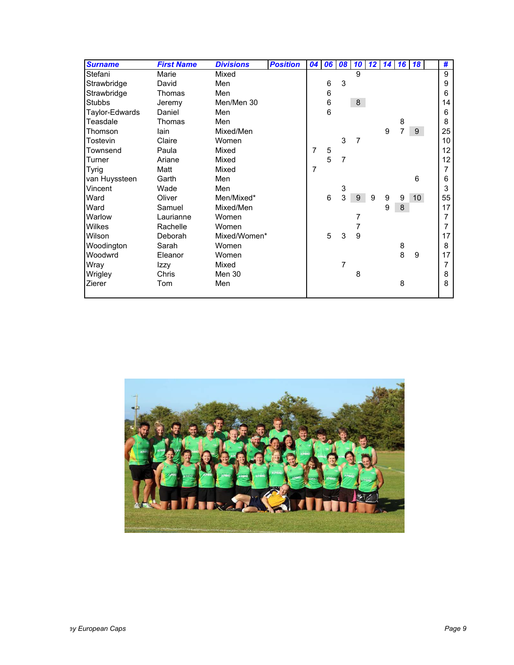| <b>Surname</b> | <b>First Name</b> | <b>Divisions</b> | <b>Position</b> | 04             |                 | 06 08          | 10 <sup>1</sup> | 12 14 16 18 |   |                |                 | #               |
|----------------|-------------------|------------------|-----------------|----------------|-----------------|----------------|-----------------|-------------|---|----------------|-----------------|-----------------|
| Stefani        | Marie             | Mixed            |                 |                |                 |                | 9               |             |   |                |                 | 9               |
| Strawbridge    | David             | Men              |                 |                | $\,6$           | 3              |                 |             |   |                |                 | 9               |
| Strawbridge    | Thomas            | Men              |                 |                | 6               |                |                 |             |   |                |                 | 6               |
| <b>Stubbs</b>  | Jeremy            | Men/Men 30       |                 |                | $\,6$           |                | $\bf 8$         |             |   |                |                 | 14              |
| Taylor-Edwards | Daniel            | Men              |                 |                | $6\phantom{1}6$ |                |                 |             |   |                |                 | 6               |
| Teasdale       | Thomas            | Men              |                 |                |                 |                |                 |             |   | 8              |                 | 8               |
| Thomson        | lain              | Mixed/Men        |                 |                |                 |                |                 |             | 9 | $\overline{7}$ | 9               | 25              |
| Tostevin       | Claire            | Women            |                 |                |                 | 3              | $\overline{7}$  |             |   |                |                 | 10 <sup>°</sup> |
| Townsend       | Paula             | Mixed            |                 | 7              | 5               |                |                 |             |   |                |                 | 12 <sup>2</sup> |
| Turner         | Ariane            | Mixed            |                 |                | 5               | $\overline{7}$ |                 |             |   |                |                 | 12              |
| <b>Tyrig</b>   | Matt              | Mixed            |                 | $\overline{7}$ |                 |                |                 |             |   |                |                 | $\overline{7}$  |
| van Huyssteen  | Garth             | Men              |                 |                |                 |                |                 |             |   |                | 6               | 6               |
| Vincent        | Wade              | Men              |                 |                |                 | 3              |                 |             |   |                |                 | 3               |
| Ward           | Oliver            | Men/Mixed*       |                 |                | 6               | 3              | 9               | 9           | 9 | 9              | 10 <sup>°</sup> | 55              |
| Ward           | Samuel            | Mixed/Men        |                 |                |                 |                |                 |             | 9 | 8              |                 | 17              |
| Warlow         | Laurianne         | Women            |                 |                |                 |                | 7               |             |   |                |                 | 7               |
| Wilkes         | Rachelle          | Women            |                 |                |                 |                | 7               |             |   |                |                 | $\overline{7}$  |
| Wilson         | Deborah           | Mixed/Women*     |                 |                | 5               | 3              | 9               |             |   |                |                 | 17              |
| Woodington     | Sarah             | Women            |                 |                |                 |                |                 |             |   | 8              |                 | 8               |
| Woodwrd        | Eleanor           | Women            |                 |                |                 |                |                 |             |   | 8              | 9               | 17              |
| Wray           | Izzy              | Mixed            |                 |                |                 | 7              |                 |             |   |                |                 | $\overline{7}$  |
| Wrigley        | Chris             | Men 30           |                 |                |                 |                | 8               |             |   |                |                 | 8               |
| Zierer         | Tom               | Men              |                 |                |                 |                |                 |             |   | 8              |                 | 8               |
|                |                   |                  |                 |                |                 |                |                 |             |   |                |                 |                 |